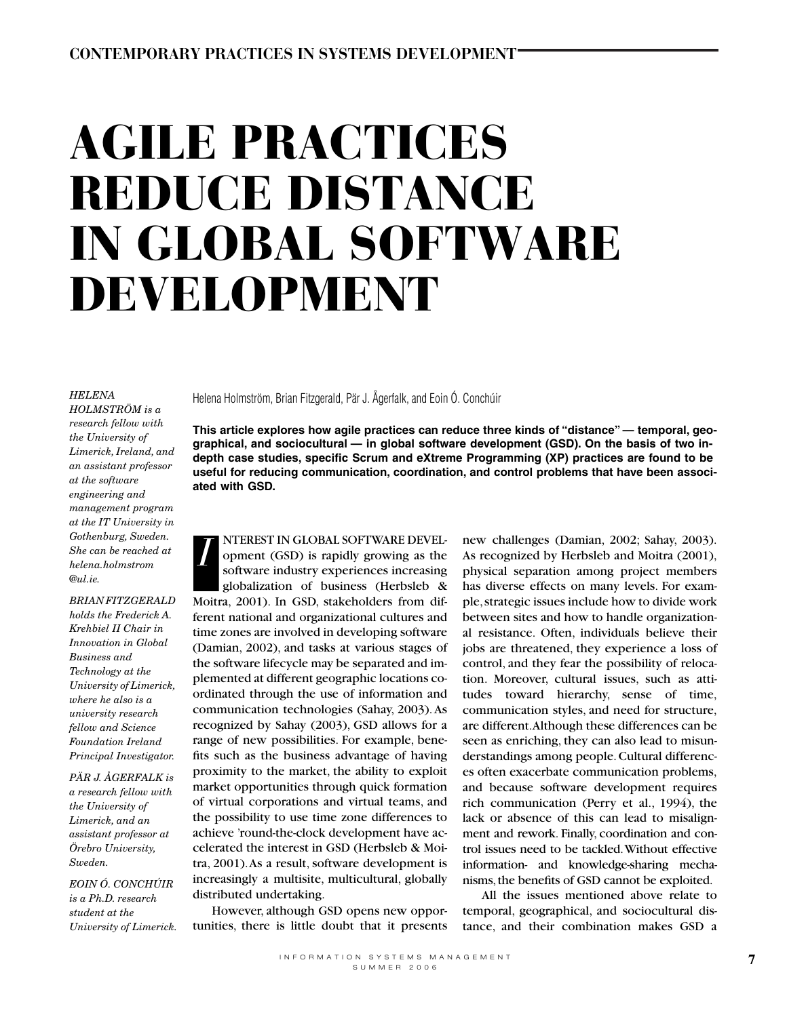# AGILE PRACTICES REDUCE DISTANCE IN GLOBAL SOFTWARE DEVELOPMENT

#### *HELENA*

*HOLMSTRÖM is a research fellow with the University of Limerick, Ireland, and an assistant professor at the software engineering and management program at the IT University in Gothenburg, Sweden. She can be reached at helena.holmstrom @ul.ie.*

*BRIAN FITZGERALD holds the Frederick A. Krehbiel II Chair in Innovation in Global Business and Technology at the University of Limerick, where he also is a university research fellow and Science Foundation Ireland Principal Investigator.*

*PÄR J. ÅGERFALK is a research fellow with the University of Limerick, and an assistant professor at Örebro University, Sweden.*

*EOIN Ó. CONCHÚIR is a Ph.D. research student at the University of Limerick.* Helena Holmström, Brian Fitzgerald, Pär J. Ågerfalk, and Eoin Ó. Conchúir

**This article explores how agile practices can reduce three kinds of "distance" — temporal, geographical, and sociocultural — in global software development (GSD). On the basis of two indepth case studies, specific Scrum and eXtreme Programming (XP) practices are found to be useful for reducing communication, coordination, and control problems that have been associated with GSD.**

NTEREST IN GLOBAL SOFTWARE DEVELopment (GSD) is rapidly growing as the software industry experiences increasing globalization of business (Herbsleb & Moitra, 2001). In GSD, stakeholders from different national and organizational cultures and time zones are involved in developing software (Damian, 2002), and tasks at various stages of the software lifecycle may be separated and implemented at different geographic locations coordinated through the use of information and communication technologies (Sahay, 2003). As recognized by Sahay (2003), GSD allows for a range of new possibilities. For example, benefits such as the business advantage of having proximity to the market, the ability to exploit market opportunities through quick formation of virtual corporations and virtual teams, and the possibility to use time zone differences to achieve 'round-the-clock development have accelerated the interest in GSD (Herbsleb & Moitra, 2001). As a result, software development is increasingly a multisite, multicultural, globally distributed undertaking. *I*

However, although GSD opens new opportunities, there is little doubt that it presents new challenges (Damian, 2002; Sahay, 2003). As recognized by Herbsleb and Moitra (2001), physical separation among project members has diverse effects on many levels. For example, strategic issues include how to divide work between sites and how to handle organizational resistance. Often, individuals believe their jobs are threatened, they experience a loss of control, and they fear the possibility of relocation. Moreover, cultural issues, such as attitudes toward hierarchy, sense of time, communication styles, and need for structure, are different. Although these differences can be seen as enriching, they can also lead to misunderstandings among people. Cultural differences often exacerbate communication problems, and because software development requires rich communication (Perry et al., 1994), the lack or absence of this can lead to misalignment and rework. Finally, coordination and control issues need to be tackled. Without effective information- and knowledge-sharing mechanisms, the benefits of GSD cannot be exploited.

All the issues mentioned above relate to temporal, geographical, and sociocultural distance, and their combination makes GSD a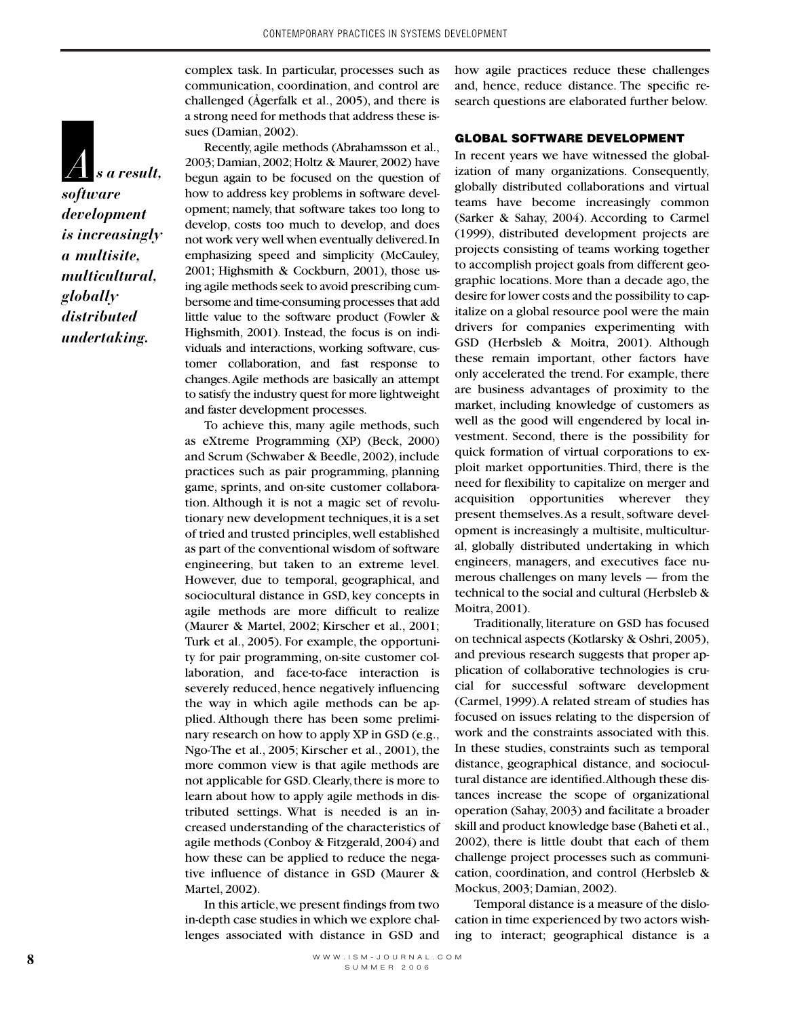$\overline{A}$  *s* a result, *software development is increasingly a multisite, multicultural, globally distributed undertaking.*

complex task. In particular, processes such as communication, coordination, and control are challenged (Ågerfalk et al., 2005), and there is a strong need for methods that address these issues (Damian, 2002).

Recently, agile methods (Abrahamsson et al., 2003; Damian, 2002; Holtz & Maurer, 2002) have begun again to be focused on the question of how to address key problems in software development; namely, that software takes too long to develop, costs too much to develop, and does not work very well when eventually delivered. In emphasizing speed and simplicity (McCauley, 2001; Highsmith & Cockburn, 2001), those using agile methods seek to avoid prescribing cumbersome and time-consuming processes that add little value to the software product (Fowler & Highsmith, 2001). Instead, the focus is on individuals and interactions, working software, customer collaboration, and fast response to changes. Agile methods are basically an attempt to satisfy the industry quest for more lightweight and faster development processes.

To achieve this, many agile methods, such as eXtreme Programming (XP) (Beck, 2000) and Scrum (Schwaber & Beedle, 2002), include practices such as pair programming, planning game, sprints, and on-site customer collaboration. Although it is not a magic set of revolutionary new development techniques, it is a set of tried and trusted principles, well established as part of the conventional wisdom of software engineering, but taken to an extreme level. However, due to temporal, geographical, and sociocultural distance in GSD, key concepts in agile methods are more difficult to realize (Maurer & Martel, 2002; Kirscher et al., 2001; Turk et al., 2005). For example, the opportunity for pair programming, on-site customer collaboration, and face-to-face interaction is severely reduced, hence negatively influencing the way in which agile methods can be applied. Although there has been some preliminary research on how to apply XP in GSD (e.g., Ngo-The et al., 2005; Kirscher et al., 2001), the more common view is that agile methods are not applicable for GSD. Clearly, there is more to learn about how to apply agile methods in distributed settings. What is needed is an increased understanding of the characteristics of agile methods (Conboy & Fitzgerald, 2004) and how these can be applied to reduce the negative influence of distance in GSD (Maurer & Martel, 2002).

In this article, we present findings from two in-depth case studies in which we explore challenges associated with distance in GSD and

how agile practices reduce these challenges and, hence, reduce distance. The specific research questions are elaborated further below.

## **GLOBAL SOFTWARE DEVELOPMENT**

In recent years we have witnessed the globalization of many organizations. Consequently, globally distributed collaborations and virtual teams have become increasingly common (Sarker & Sahay, 2004). According to Carmel (1999), distributed development projects are projects consisting of teams working together to accomplish project goals from different geographic locations. More than a decade ago, the desire for lower costs and the possibility to capitalize on a global resource pool were the main drivers for companies experimenting with GSD (Herbsleb & Moitra, 2001). Although these remain important, other factors have only accelerated the trend. For example, there are business advantages of proximity to the market, including knowledge of customers as well as the good will engendered by local investment. Second, there is the possibility for quick formation of virtual corporations to exploit market opportunities. Third, there is the need for flexibility to capitalize on merger and acquisition opportunities wherever they present themselves. As a result, software development is increasingly a multisite, multicultural, globally distributed undertaking in which engineers, managers, and executives face numerous challenges on many levels — from the technical to the social and cultural (Herbsleb & Moitra, 2001).

Traditionally, literature on GSD has focused on technical aspects (Kotlarsky & Oshri, 2005), and previous research suggests that proper application of collaborative technologies is crucial for successful software development (Carmel, 1999). A related stream of studies has focused on issues relating to the dispersion of work and the constraints associated with this. In these studies, constraints such as temporal distance, geographical distance, and sociocultural distance are identified. Although these distances increase the scope of organizational operation (Sahay, 2003) and facilitate a broader skill and product knowledge base (Baheti et al., 2002), there is little doubt that each of them challenge project processes such as communication, coordination, and control (Herbsleb & Mockus, 2003; Damian, 2002).

Temporal distance is a measure of the dislocation in time experienced by two actors wishing to interact; geographical distance is a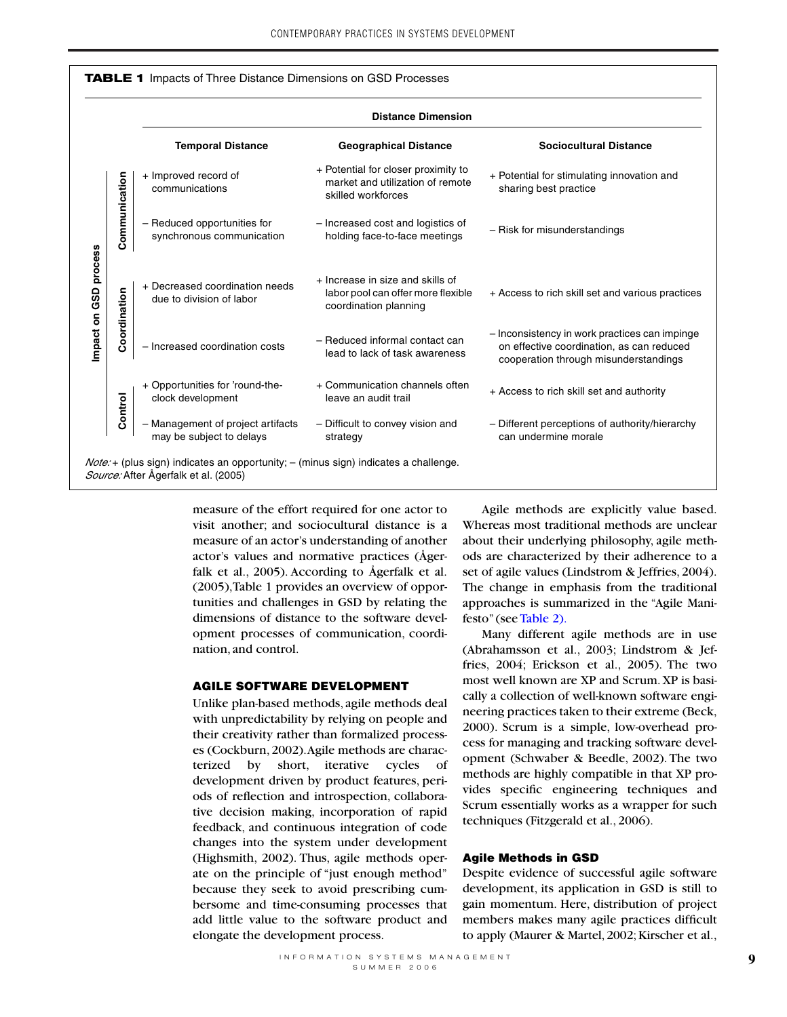|               | <b>Distance Dimension</b>                                     |                                                                                                 |                                                                                                                                     |  |  |
|---------------|---------------------------------------------------------------|-------------------------------------------------------------------------------------------------|-------------------------------------------------------------------------------------------------------------------------------------|--|--|
|               | <b>Temporal Distance</b>                                      | <b>Geographical Distance</b>                                                                    | <b>Sociocultural Distance</b>                                                                                                       |  |  |
|               | + Improved record of<br>communications                        | + Potential for closer proximity to<br>market and utilization of remote<br>skilled workforces   | + Potential for stimulating innovation and<br>sharing best practice                                                                 |  |  |
| Communication | - Reduced opportunities for<br>synchronous communication      | - Increased cost and logistics of<br>holding face-to-face meetings                              | - Risk for misunderstandings                                                                                                        |  |  |
| Coordination  | + Decreased coordination needs<br>due to division of labor    | + Increase in size and skills of<br>labor pool can offer more flexible<br>coordination planning | + Access to rich skill set and various practices                                                                                    |  |  |
|               | - Increased coordination costs                                | - Reduced informal contact can<br>lead to lack of task awareness                                | - Inconsistency in work practices can impinge<br>on effective coordination, as can reduced<br>cooperation through misunderstandings |  |  |
| Control       | + Opportunities for 'round-the-<br>clock development          | + Communication channels often<br>leave an audit trail                                          | + Access to rich skill set and authority                                                                                            |  |  |
|               | - Management of project artifacts<br>may be subject to delays | - Difficult to convey vision and<br>strategy                                                    | - Different perceptions of authority/hierarchy<br>can undermine morale                                                              |  |  |

measure of the effort required for one actor to visit another; and sociocultural distance is a measure of an actor's understanding of another actor's values and normative practices (Ågerfalk et al., 2005). According to Ågerfalk et al. (2005), Table 1 provides an overview of opportunities and challenges in GSD by relating the dimensions of distance to the software development processes of communication, coordination, and control.

# **AGILE SOFTWARE DEVELOPMENT**

Unlike plan-based methods, agile methods deal with unpredictability by relying on people and their creativity rather than formalized processes (Cockburn, 2002). Agile methods are characterized by short, iterative cycles of development driven by product features, periods of reflection and introspection, collaborative decision making, incorporation of rapid feedback, and continuous integration of code changes into the system under development (Highsmith, 2002). Thus, agile methods operate on the principle of "just enough method" because they seek to avoid prescribing cumbersome and time-consuming processes that add little value to the software product and elongate the development process.

Agile methods are explicitly value based. Whereas most traditional methods are unclear about their underlying philosophy, agile methods are characterized by their adherence to a set of agile values (Lindstrom & Jeffries, 2004). The change in emphasis from the traditional approaches is summarized in the "Agile Manifesto" (se[e Table 2\)](#page-3-0).

Many different agile methods are in use (Abrahamsson et al., 2003; Lindstrom & Jeffries, 2004; Erickson et al., 2005). The two most well known are XP and Scrum. XP is basically a collection of well-known software engineering practices taken to their extreme (Beck, 2000). Scrum is a simple, low-overhead process for managing and tracking software development (Schwaber & Beedle, 2002). The two methods are highly compatible in that XP provides specific engineering techniques and Scrum essentially works as a wrapper for such techniques (Fitzgerald et al., 2006).

## **Agile Methods in GSD**

Despite evidence of successful agile software development, its application in GSD is still to gain momentum. Here, distribution of project members makes many agile practices difficult to apply (Maurer & Martel, 2002; Kirscher et al.,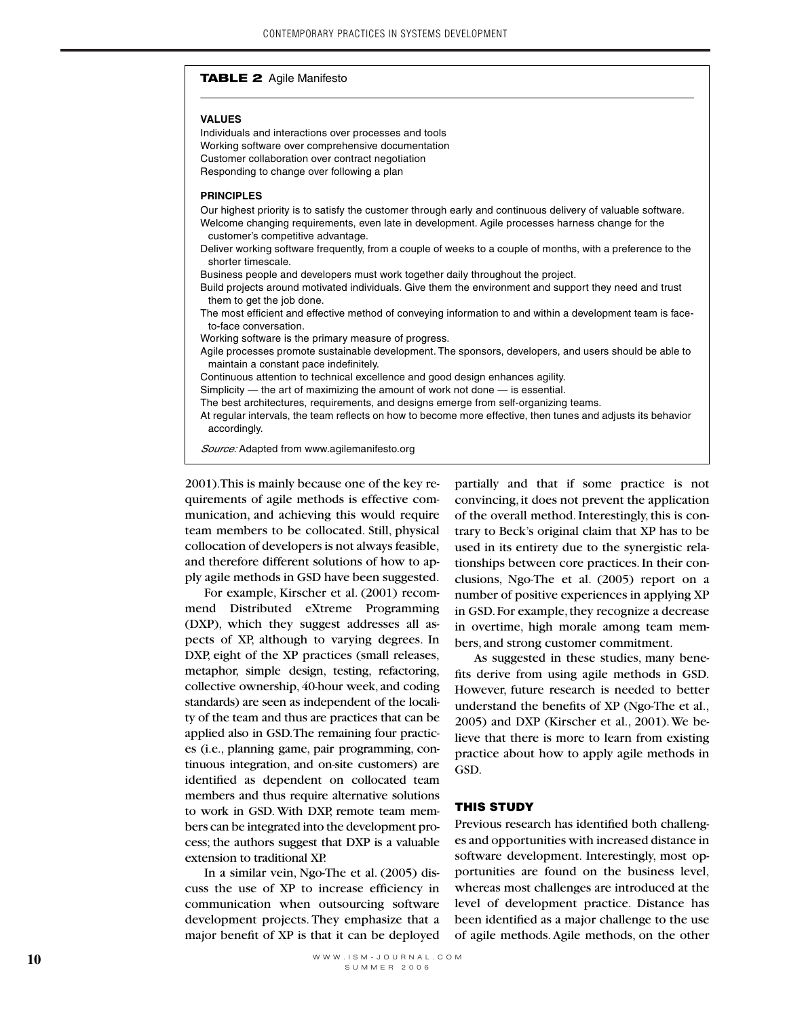## <span id="page-3-0"></span>**TABLE 2** Agile Manifesto

#### **VALUES**

Individuals and interactions over processes and tools Working software over comprehensive documentation Customer collaboration over contract negotiation Responding to change over following a plan

#### **PRINCIPLES**

Our highest priority is to satisfy the customer through early and continuous delivery of valuable software. Welcome changing requirements, even late in development. Agile processes harness change for the customer's competitive advantage.

- Deliver working software frequently, from a couple of weeks to a couple of months, with a preference to the shorter timescale.
- Business people and developers must work together daily throughout the project.
- Build projects around motivated individuals. Give them the environment and support they need and trust them to get the job done.
- The most efficient and effective method of conveying information to and within a development team is faceto-face conversation.
- Working software is the primary measure of progress.
- Agile processes promote sustainable development. The sponsors, developers, and users should be able to maintain a constant pace indefinitely.
- Continuous attention to technical excellence and good design enhances agility.
- Simplicity the art of maximizing the amount of work not done is essential.

The best architectures, requirements, and designs emerge from self-organizing teams.

At regular intervals, the team reflects on how to become more effective, then tunes and adjusts its behavior accordingly.

*Source:* Adapted from www.agilemanifesto.org

2001). This is mainly because one of the key requirements of agile methods is effective communication, and achieving this would require team members to be collocated. Still, physical collocation of developers is not always feasible, and therefore different solutions of how to apply agile methods in GSD have been suggested.

For example, Kirscher et al. (2001) recommend Distributed eXtreme Programming (DXP), which they suggest addresses all aspects of XP, although to varying degrees. In DXP, eight of the XP practices (small releases, metaphor, simple design, testing, refactoring, collective ownership, 40-hour week, and coding standards) are seen as independent of the locality of the team and thus are practices that can be applied also in GSD. The remaining four practices (i.e., planning game, pair programming, continuous integration, and on-site customers) are identified as dependent on collocated team members and thus require alternative solutions to work in GSD. With DXP, remote team members can be integrated into the development process; the authors suggest that DXP is a valuable extension to traditional XP.

In a similar vein, Ngo-The et al. (2005) discuss the use of XP to increase efficiency in communication when outsourcing software development projects. They emphasize that a major benefit of XP is that it can be deployed

partially and that if some practice is not convincing, it does not prevent the application of the overall method. Interestingly, this is contrary to Beck's original claim that XP has to be used in its entirety due to the synergistic relationships between core practices. In their conclusions, Ngo-The et al. (2005) report on a number of positive experiences in applying XP in GSD. For example, they recognize a decrease in overtime, high morale among team members, and strong customer commitment.

As suggested in these studies, many benefits derive from using agile methods in GSD. However, future research is needed to better understand the benefits of XP (Ngo-The et al., 2005) and DXP (Kirscher et al., 2001). We believe that there is more to learn from existing practice about how to apply agile methods in GSD.

#### **THIS STUDY**

Previous research has identified both challenges and opportunities with increased distance in software development. Interestingly, most opportunities are found on the business level, whereas most challenges are introduced at the level of development practice. Distance has been identified as a major challenge to the use of agile methods. Agile methods, on the other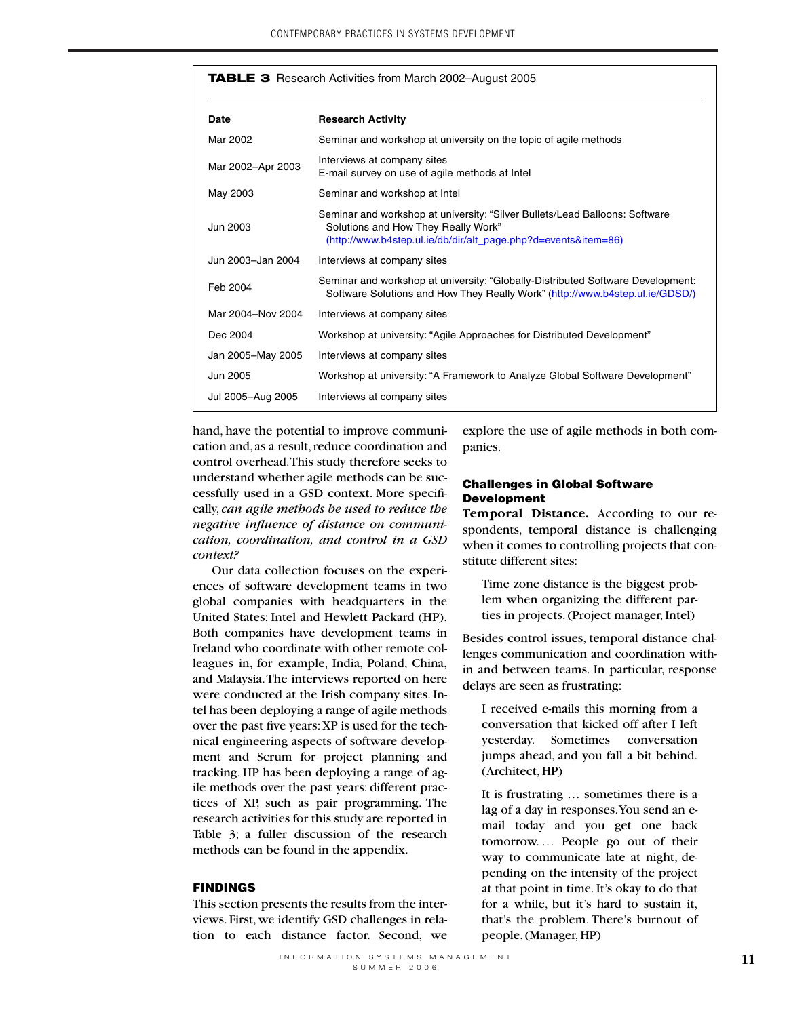## **TABLE 3** Research Activities from March 2002–August 2005

| Date              | <b>Research Activity</b>                                                                                                                                                             |
|-------------------|--------------------------------------------------------------------------------------------------------------------------------------------------------------------------------------|
| Mar 2002          | Seminar and workshop at university on the topic of agile methods                                                                                                                     |
| Mar 2002-Apr 2003 | Interviews at company sites<br>E-mail survey on use of agile methods at Intel                                                                                                        |
| May 2003          | Seminar and workshop at Intel                                                                                                                                                        |
| Jun 2003          | Seminar and workshop at university: "Silver Bullets/Lead Balloons: Software<br>Solutions and How They Really Work"<br>(http://www.b4step.ul.ie/db/dir/alt_page.php?d=events&item=86) |
| Jun 2003-Jan 2004 | Interviews at company sites                                                                                                                                                          |
| Feb 2004          | Seminar and workshop at university: "Globally-Distributed Software Development:<br>Software Solutions and How They Really Work" (http://www.b4step.ul.ie/GDSD/)                      |
| Mar 2004-Nov 2004 | Interviews at company sites                                                                                                                                                          |
| Dec 2004          | Workshop at university: "Agile Approaches for Distributed Development"                                                                                                               |
| Jan 2005-May 2005 | Interviews at company sites                                                                                                                                                          |
| Jun 2005          | Workshop at university: "A Framework to Analyze Global Software Development"                                                                                                         |
| Jul 2005-Aug 2005 | Interviews at company sites                                                                                                                                                          |

hand, have the potential to improve communication and, as a result, reduce coordination and control overhead. This study therefore seeks to understand whether agile methods can be successfully used in a GSD context. More specifically, *can agile methods be used to reduce the negative influence of distance on communication, coordination, and control in a GSD context?*

Our data collection focuses on the experiences of software development teams in two global companies with headquarters in the United States: Intel and Hewlett Packard (HP). Both companies have development teams in Ireland who coordinate with other remote colleagues in, for example, India, Poland, China, and Malaysia. The interviews reported on here were conducted at the Irish company sites. Intel has been deploying a range of agile methods over the past five years: XP is used for the technical engineering aspects of software development and Scrum for project planning and tracking. HP has been deploying a range of agile methods over the past years: different practices of XP, such as pair programming. The research activities for this study are reported in Table 3; a fuller discussion of the research methods can be found in the appendix.

# **FINDINGS**

This section presents the results from the interviews. First, we identify GSD challenges in relation to each distance factor. Second, we

explore the use of agile methods in both companies.

# **Challenges in Global Software Development**

**Temporal Distance.** According to our respondents, temporal distance is challenging when it comes to controlling projects that constitute different sites:

Time zone distance is the biggest problem when organizing the different parties in projects. (Project manager, Intel)

Besides control issues, temporal distance challenges communication and coordination within and between teams. In particular, response delays are seen as frustrating:

I received e-mails this morning from a conversation that kicked off after I left yesterday. Sometimes conversation jumps ahead, and you fall a bit behind. (Architect, HP)

It is frustrating … sometimes there is a lag of a day in responses. You send an email today and you get one back tomorrow. … People go out of their way to communicate late at night, depending on the intensity of the project at that point in time. It's okay to do that for a while, but it's hard to sustain it, that's the problem. There's burnout of people. (Manager, HP)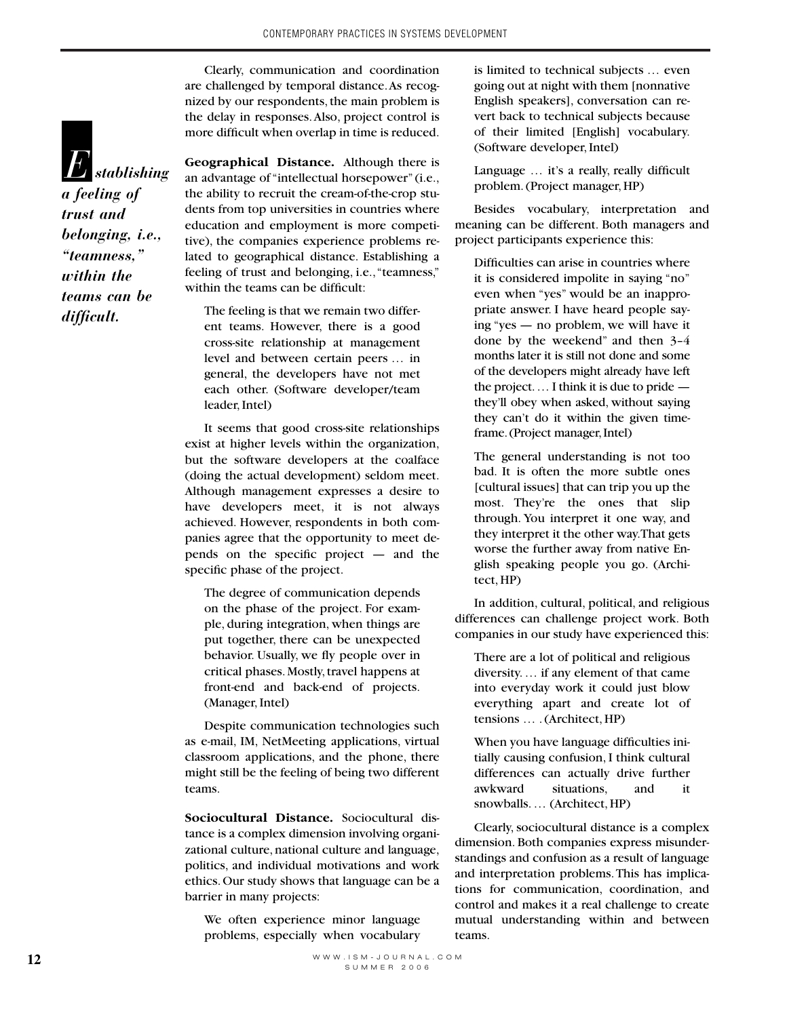Clearly, communication and coordination are challenged by temporal distance. As recognized by our respondents, the main problem is the delay in responses. Also, project control is more difficult when overlap in time is reduced.

*stablishing Ea feeling of trust and belonging, i.e., "teamness," within the teams can be difficult.*

**Geographical Distance.** Although there is an advantage of "intellectual horsepower" (i.e., the ability to recruit the cream-of-the-crop students from top universities in countries where education and employment is more competitive), the companies experience problems related to geographical distance. Establishing a feeling of trust and belonging, i.e., "teamness," within the teams can be difficult:

The feeling is that we remain two different teams. However, there is a good cross-site relationship at management level and between certain peers … in general, the developers have not met each other. (Software developer/team leader, Intel)

It seems that good cross-site relationships exist at higher levels within the organization, but the software developers at the coalface (doing the actual development) seldom meet. Although management expresses a desire to have developers meet, it is not always achieved. However, respondents in both companies agree that the opportunity to meet depends on the specific project — and the specific phase of the project.

The degree of communication depends on the phase of the project. For example, during integration, when things are put together, there can be unexpected behavior. Usually, we fly people over in critical phases. Mostly, travel happens at front-end and back-end of projects. (Manager, Intel)

Despite communication technologies such as e-mail, IM, NetMeeting applications, virtual classroom applications, and the phone, there might still be the feeling of being two different teams.

**Sociocultural Distance.** Sociocultural distance is a complex dimension involving organizational culture, national culture and language, politics, and individual motivations and work ethics. Our study shows that language can be a barrier in many projects:

We often experience minor language problems, especially when vocabulary

is limited to technical subjects … even going out at night with them [nonnative English speakers], conversation can revert back to technical subjects because of their limited [English] vocabulary. (Software developer, Intel)

Language … it's a really, really difficult problem. (Project manager, HP)

Besides vocabulary, interpretation and meaning can be different. Both managers and project participants experience this:

Difficulties can arise in countries where it is considered impolite in saying "no" even when "yes" would be an inappropriate answer. I have heard people saying "yes — no problem, we will have it done by the weekend" and then 3–4 months later it is still not done and some of the developers might already have left the project. … I think it is due to pride they'll obey when asked, without saying they can't do it within the given timeframe. (Project manager, Intel)

The general understanding is not too bad. It is often the more subtle ones [cultural issues] that can trip you up the most. They're the ones that slip through. You interpret it one way, and they interpret it the other way. That gets worse the further away from native English speaking people you go. (Architect, HP)

In addition, cultural, political, and religious differences can challenge project work. Both companies in our study have experienced this:

There are a lot of political and religious diversity. … if any element of that came into everyday work it could just blow everything apart and create lot of tensions … . (Architect, HP)

When you have language difficulties initially causing confusion, I think cultural differences can actually drive further awkward situations, and it snowballs. … (Architect, HP)

Clearly, sociocultural distance is a complex dimension. Both companies express misunderstandings and confusion as a result of language and interpretation problems. This has implications for communication, coordination, and control and makes it a real challenge to create mutual understanding within and between teams.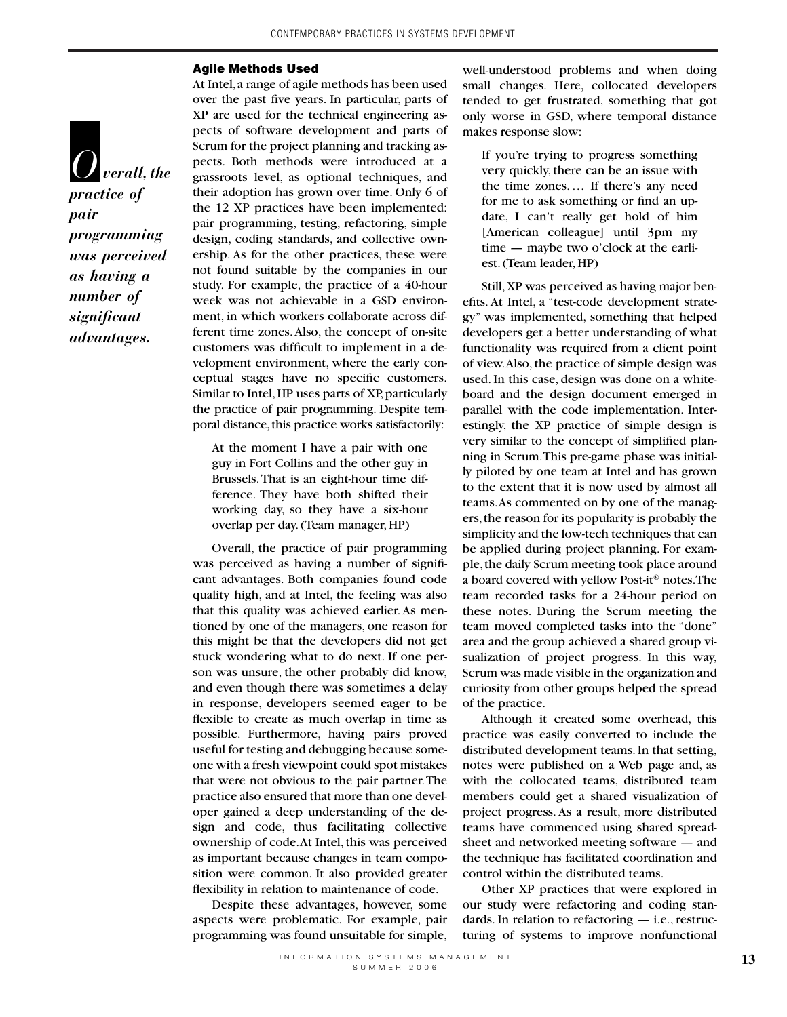# **Agile Methods Used**

At Intel, a range of agile methods has been used over the past five years. In particular, parts of XP are used for the technical engineering aspects of software development and parts of Scrum for the project planning and tracking aspects. Both methods were introduced at a grassroots level, as optional techniques, and their adoption has grown over time. Only 6 of the 12 XP practices have been implemented: pair programming, testing, refactoring, simple design, coding standards, and collective ownership. As for the other practices, these were not found suitable by the companies in our study. For example, the practice of a 40-hour week was not achievable in a GSD environment, in which workers collaborate across different time zones. Also, the concept of on-site customers was difficult to implement in a development environment, where the early conceptual stages have no specific customers. Similar to Intel, HP uses parts of XP, particularly the practice of pair programming. Despite temporal distance, this practice works satisfactorily:

At the moment I have a pair with one guy in Fort Collins and the other guy in Brussels. That is an eight-hour time difference. They have both shifted their working day, so they have a six-hour overlap per day. (Team manager, HP)

Overall, the practice of pair programming was perceived as having a number of significant advantages. Both companies found code quality high, and at Intel, the feeling was also that this quality was achieved earlier. As mentioned by one of the managers, one reason for this might be that the developers did not get stuck wondering what to do next. If one person was unsure, the other probably did know, and even though there was sometimes a delay in response, developers seemed eager to be flexible to create as much overlap in time as possible. Furthermore, having pairs proved useful for testing and debugging because someone with a fresh viewpoint could spot mistakes that were not obvious to the pair partner. The practice also ensured that more than one developer gained a deep understanding of the design and code, thus facilitating collective ownership of code. At Intel, this was perceived as important because changes in team composition were common. It also provided greater flexibility in relation to maintenance of code.

Despite these advantages, however, some aspects were problematic. For example, pair programming was found unsuitable for simple,

well-understood problems and when doing small changes. Here, collocated developers tended to get frustrated, something that got only worse in GSD, where temporal distance makes response slow:

If you're trying to progress something very quickly, there can be an issue with the time zones. … If there's any need for me to ask something or find an update, I can't really get hold of him [American colleague] until 3pm my time — maybe two o'clock at the earliest. (Team leader, HP)

Still, XP was perceived as having major benefits. At Intel, a "test-code development strategy" was implemented, something that helped developers get a better understanding of what functionality was required from a client point of view. Also, the practice of simple design was used. In this case, design was done on a whiteboard and the design document emerged in parallel with the code implementation. Interestingly, the XP practice of simple design is very similar to the concept of simplified planning in Scrum. This pre-game phase was initially piloted by one team at Intel and has grown to the extent that it is now used by almost all teams. As commented on by one of the managers, the reason for its popularity is probably the simplicity and the low-tech techniques that can be applied during project planning. For example, the daily Scrum meeting took place around a board covered with yellow Post-it® notes. The team recorded tasks for a 24-hour period on these notes. During the Scrum meeting the team moved completed tasks into the "done" area and the group achieved a shared group visualization of project progress. In this way, Scrum was made visible in the organization and curiosity from other groups helped the spread of the practice.

Although it created some overhead, this practice was easily converted to include the distributed development teams. In that setting, notes were published on a Web page and, as with the collocated teams, distributed team members could get a shared visualization of project progress. As a result, more distributed teams have commenced using shared spreadsheet and networked meeting software — and the technique has facilitated coordination and control within the distributed teams.

Other XP practices that were explored in our study were refactoring and coding standards. In relation to refactoring — i.e., restructuring of systems to improve nonfunctional

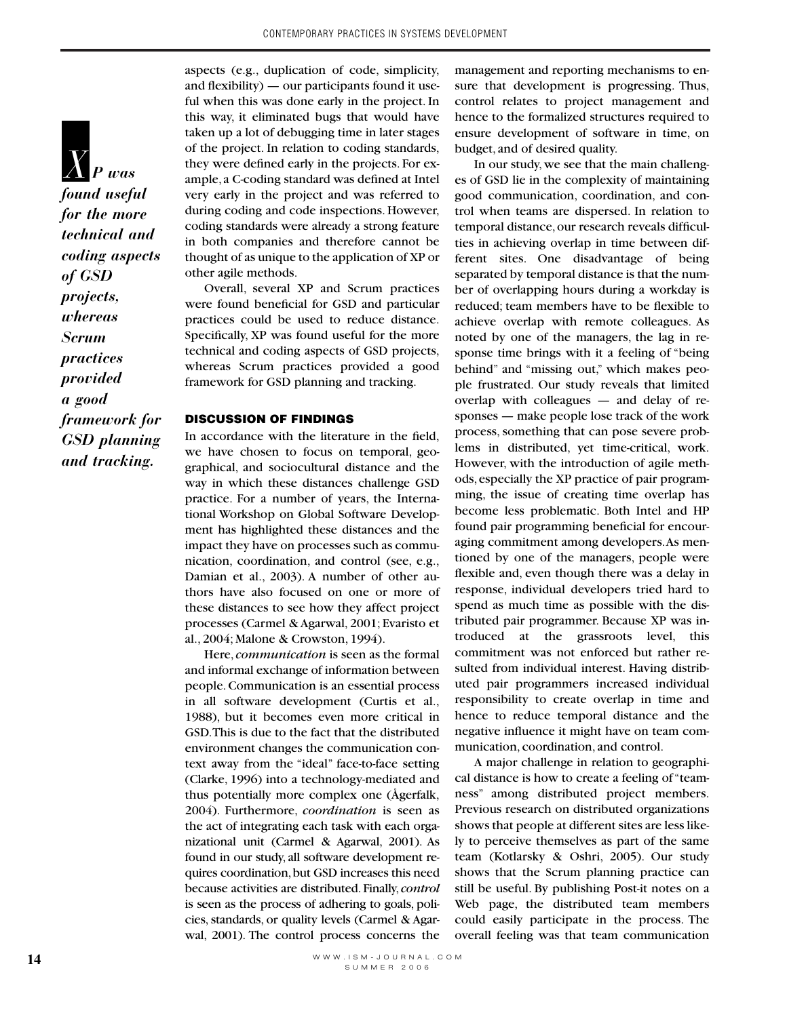*P was Xfound useful for the more technical and coding aspects of GSD projects, whereas Scrum practices provided a good framework for GSD planning and tracking.*

aspects (e.g., duplication of code, simplicity, and flexibility) — our participants found it useful when this was done early in the project. In this way, it eliminated bugs that would have taken up a lot of debugging time in later stages of the project. In relation to coding standards, they were defined early in the projects. For example, a C-coding standard was defined at Intel very early in the project and was referred to during coding and code inspections. However, coding standards were already a strong feature in both companies and therefore cannot be thought of as unique to the application of XP or other agile methods.

Overall, several XP and Scrum practices were found beneficial for GSD and particular practices could be used to reduce distance. Specifically, XP was found useful for the more technical and coding aspects of GSD projects, whereas Scrum practices provided a good framework for GSD planning and tracking.

# **DISCUSSION OF FINDINGS**

In accordance with the literature in the field, we have chosen to focus on temporal, geographical, and sociocultural distance and the way in which these distances challenge GSD practice. For a number of years, the International Workshop on Global Software Development has highlighted these distances and the impact they have on processes such as communication, coordination, and control (see, e.g., Damian et al., 2003). A number of other authors have also focused on one or more of these distances to see how they affect project processes (Carmel & Agarwal, 2001; Evaristo et al., 2004; Malone & Crowston, 1994).

Here, *communication* is seen as the formal and informal exchange of information between people. Communication is an essential process in all software development (Curtis et al., 1988), but it becomes even more critical in GSD. This is due to the fact that the distributed environment changes the communication context away from the "ideal" face-to-face setting (Clarke, 1996) into a technology-mediated and thus potentially more complex one (Ågerfalk, 2004). Furthermore, *coordination* is seen as the act of integrating each task with each organizational unit (Carmel & Agarwal, 2001). As found in our study, all software development requires coordination, but GSD increases this need because activities are distributed. Finally, *control* is seen as the process of adhering to goals, policies, standards, or quality levels (Carmel & Agarwal, 2001). The control process concerns the

management and reporting mechanisms to ensure that development is progressing. Thus, control relates to project management and hence to the formalized structures required to ensure development of software in time, on budget, and of desired quality.

In our study, we see that the main challenges of GSD lie in the complexity of maintaining good communication, coordination, and control when teams are dispersed. In relation to temporal distance, our research reveals difficulties in achieving overlap in time between different sites. One disadvantage of being separated by temporal distance is that the number of overlapping hours during a workday is reduced; team members have to be flexible to achieve overlap with remote colleagues. As noted by one of the managers, the lag in response time brings with it a feeling of "being behind" and "missing out," which makes people frustrated. Our study reveals that limited overlap with colleagues — and delay of responses — make people lose track of the work process, something that can pose severe problems in distributed, yet time-critical, work. However, with the introduction of agile methods, especially the XP practice of pair programming, the issue of creating time overlap has become less problematic. Both Intel and HP found pair programming beneficial for encouraging commitment among developers. As mentioned by one of the managers, people were flexible and, even though there was a delay in response, individual developers tried hard to spend as much time as possible with the distributed pair programmer. Because XP was introduced at the grassroots level, this commitment was not enforced but rather resulted from individual interest. Having distributed pair programmers increased individual responsibility to create overlap in time and hence to reduce temporal distance and the negative influence it might have on team communication, coordination, and control.

A major challenge in relation to geographical distance is how to create a feeling of "teamness" among distributed project members. Previous research on distributed organizations shows that people at different sites are less likely to perceive themselves as part of the same team (Kotlarsky & Oshri, 2005). Our study shows that the Scrum planning practice can still be useful. By publishing Post-it notes on a Web page, the distributed team members could easily participate in the process. The overall feeling was that team communication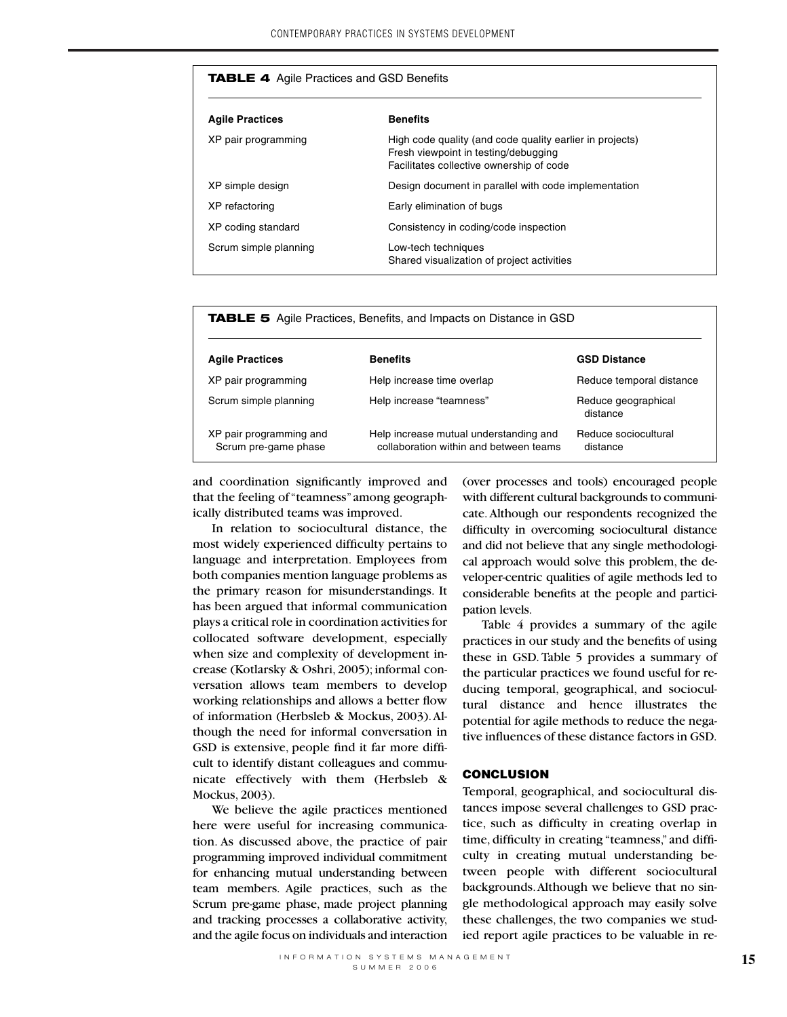| <b>Agile Practices</b> | <b>Benefits</b>                                                                                                                              |
|------------------------|----------------------------------------------------------------------------------------------------------------------------------------------|
| XP pair programming    | High code quality (and code quality earlier in projects)<br>Fresh viewpoint in testing/debugging<br>Facilitates collective ownership of code |
| XP simple design       | Design document in parallel with code implementation                                                                                         |
| XP refactoring         | Early elimination of bugs                                                                                                                    |
| XP coding standard     | Consistency in coding/code inspection                                                                                                        |
| Scrum simple planning  | Low-tech techniques<br>Shared visualization of project activities                                                                            |

| <b>TABLE 5</b> Agile Practices, Benefits, and Impacts on Distance in GSD |                                                                                  |                                  |  |  |  |
|--------------------------------------------------------------------------|----------------------------------------------------------------------------------|----------------------------------|--|--|--|
| <b>Agile Practices</b>                                                   | <b>Benefits</b>                                                                  | <b>GSD Distance</b>              |  |  |  |
| XP pair programming                                                      | Help increase time overlap                                                       | Reduce temporal distance         |  |  |  |
| Scrum simple planning                                                    | Help increase "teamness"                                                         | Reduce geographical<br>distance  |  |  |  |
| XP pair programming and<br>Scrum pre-game phase                          | Help increase mutual understanding and<br>collaboration within and between teams | Reduce sociocultural<br>distance |  |  |  |

and coordination significantly improved and that the feeling of "teamness" among geographically distributed teams was improved.

In relation to sociocultural distance, the most widely experienced difficulty pertains to language and interpretation. Employees from both companies mention language problems as the primary reason for misunderstandings. It has been argued that informal communication plays a critical role in coordination activities for collocated software development, especially when size and complexity of development increase (Kotlarsky & Oshri, 2005); informal conversation allows team members to develop working relationships and allows a better flow of information (Herbsleb & Mockus, 2003). Although the need for informal conversation in GSD is extensive, people find it far more difficult to identify distant colleagues and communicate effectively with them (Herbsleb & Mockus, 2003).

We believe the agile practices mentioned here were useful for increasing communication. As discussed above, the practice of pair programming improved individual commitment for enhancing mutual understanding between team members. Agile practices, such as the Scrum pre-game phase, made project planning and tracking processes a collaborative activity, and the agile focus on individuals and interaction (over processes and tools) encouraged people with different cultural backgrounds to communicate. Although our respondents recognized the difficulty in overcoming sociocultural distance and did not believe that any single methodological approach would solve this problem, the developer-centric qualities of agile methods led to considerable benefits at the people and participation levels.

Table 4 provides a summary of the agile practices in our study and the benefits of using these in GSD. Table 5 provides a summary of the particular practices we found useful for reducing temporal, geographical, and sociocultural distance and hence illustrates the potential for agile methods to reduce the negative influences of these distance factors in GSD.

#### **CONCLUSION**

Temporal, geographical, and sociocultural distances impose several challenges to GSD practice, such as difficulty in creating overlap in time, difficulty in creating "teamness," and difficulty in creating mutual understanding between people with different sociocultural backgrounds. Although we believe that no single methodological approach may easily solve these challenges, the two companies we studied report agile practices to be valuable in re-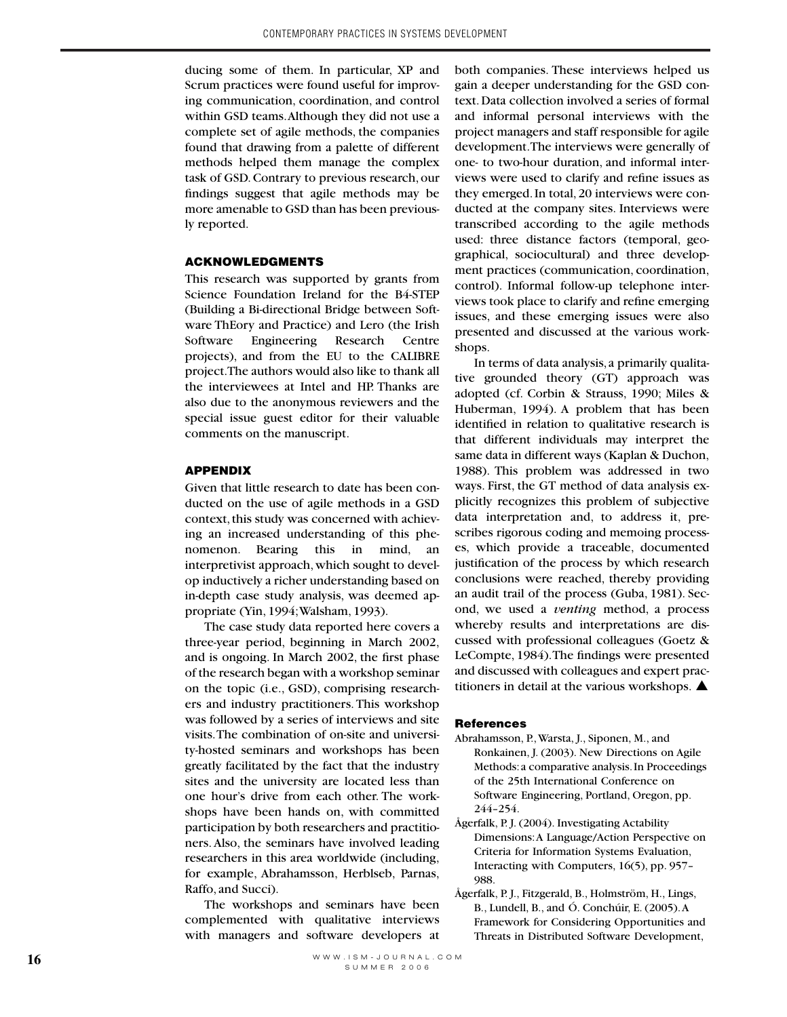ducing some of them. In particular, XP and Scrum practices were found useful for improving communication, coordination, and control within GSD teams. Although they did not use a complete set of agile methods, the companies found that drawing from a palette of different methods helped them manage the complex task of GSD. Contrary to previous research, our findings suggest that agile methods may be more amenable to GSD than has been previously reported.

# **ACKNOWLEDGMENTS**

This research was supported by grants from Science Foundation Ireland for the B4-STEP (Building a Bi-directional Bridge between Software ThEory and Practice) and Lero (the Irish Software Engineering Research Centre projects), and from the EU to the CALIBRE project. The authors would also like to thank all the interviewees at Intel and HP. Thanks are also due to the anonymous reviewers and the special issue guest editor for their valuable comments on the manuscript.

#### **APPENDIX**

Given that little research to date has been conducted on the use of agile methods in a GSD context, this study was concerned with achieving an increased understanding of this phenomenon. Bearing this in mind, an interpretivist approach, which sought to develop inductively a richer understanding based on in-depth case study analysis, was deemed appropriate (Yin, 1994; Walsham, 1993).

The case study data reported here covers a three-year period, beginning in March 2002, and is ongoing. In March 2002, the first phase of the research began with a workshop seminar on the topic (i.e., GSD), comprising researchers and industry practitioners. This workshop was followed by a series of interviews and site visits. The combination of on-site and university-hosted seminars and workshops has been greatly facilitated by the fact that the industry sites and the university are located less than one hour's drive from each other. The workshops have been hands on, with committed participation by both researchers and practitioners. Also, the seminars have involved leading researchers in this area worldwide (including, for example, Abrahamsson, Herblseb, Parnas, Raffo, and Succi).

The workshops and seminars have been complemented with qualitative interviews with managers and software developers at

both companies. These interviews helped us gain a deeper understanding for the GSD context. Data collection involved a series of formal and informal personal interviews with the project managers and staff responsible for agile development. The interviews were generally of one- to two-hour duration, and informal interviews were used to clarify and refine issues as they emerged. In total, 20 interviews were conducted at the company sites. Interviews were transcribed according to the agile methods used: three distance factors (temporal, geographical, sociocultural) and three development practices (communication, coordination, control). Informal follow-up telephone interviews took place to clarify and refine emerging issues, and these emerging issues were also presented and discussed at the various workshops.

In terms of data analysis, a primarily qualitative grounded theory (GT) approach was adopted (cf. Corbin & Strauss, 1990; Miles & Huberman, 1994). A problem that has been identified in relation to qualitative research is that different individuals may interpret the same data in different ways (Kaplan & Duchon, 1988). This problem was addressed in two ways. First, the GT method of data analysis explicitly recognizes this problem of subjective data interpretation and, to address it, prescribes rigorous coding and memoing processes, which provide a traceable, documented justification of the process by which research conclusions were reached, thereby providing an audit trail of the process (Guba, 1981). Second, we used a *venting* method, a process whereby results and interpretations are discussed with professional colleagues (Goetz & LeCompte, 1984). The findings were presented and discussed with colleagues and expert practitioners in detail at the various workshops. ▲

#### **References**

- Abrahamsson, P., Warsta, J., Siponen, M., and Ronkainen, J. (2003). New Directions on Agile Methods: a comparative analysis. In Proceedings of the 25th International Conference on Software Engineering, Portland, Oregon, pp. 244–254.
- Ågerfalk, P. J. (2004). Investigating Actability Dimensions: A Language/Action Perspective on Criteria for Information Systems Evaluation, Interacting with Computers, 16(5), pp. 957– 988.
- Ågerfalk, P. J., Fitzgerald, B., Holmström, H., Lings, B., Lundell, B., and Ó. Conchúir, E. (2005). A Framework for Considering Opportunities and Threats in Distributed Software Development,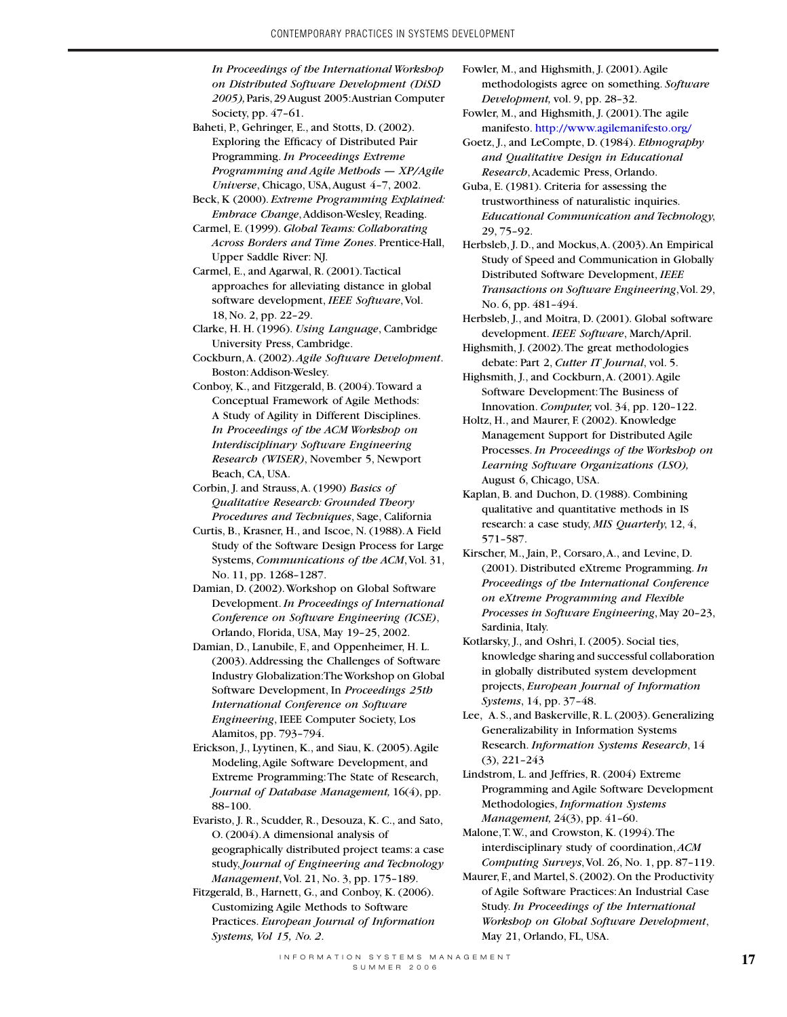*In Proceedings of the International Workshop on Distributed Software Development (DiSD 2005),* Paris, 29 August 2005: Austrian Computer Society, pp. 47–61.

- Baheti, P., Gehringer, E., and Stotts, D. (2002). Exploring the Efficacy of Distributed Pair Programming. *In Proceedings Extreme Programming and Agile Methods — XP/Agile Universe*, Chicago, USA, August 4–7, 2002.
- Beck, K (2000). *Extreme Programming Explained: Embrace Change*, Addison-Wesley, Reading.
- Carmel, E. (1999). *Global Teams: Collaborating Across Borders and Time Zones*. Prentice-Hall, Upper Saddle River: NJ.
- Carmel, E., and Agarwal, R. (2001). Tactical approaches for alleviating distance in global software development, *IEEE Software*, Vol. 18, No. 2, pp. 22–29.
- Clarke, H. H. (1996). *Using Language*, Cambridge University Press, Cambridge.
- Cockburn, A. (2002). *Agile Software Development*. Boston: Addison-Wesley.
- Conboy, K., and Fitzgerald, B. (2004). Toward a Conceptual Framework of Agile Methods: A Study of Agility in Different Disciplines. *In Proceedings of the ACM Workshop on Interdisciplinary Software Engineering Research (WISER)*, November 5, Newport Beach, CA, USA.

Corbin, J. and Strauss, A. (1990) *Basics of Qualitative Research: Grounded Theory Procedures and Techniques*, Sage, California

- Curtis, B., Krasner, H., and Iscoe, N. (1988). A Field Study of the Software Design Process for Large Systems, *Communications of the ACM*, Vol. 31, No. 11, pp. 1268–1287.
- Damian, D. (2002). Workshop on Global Software Development. *In Proceedings of International Conference on Software Engineering (ICSE)*, Orlando, Florida, USA, May 19–25, 2002.
- Damian, D., Lanubile, F., and Oppenheimer, H. L. (2003). Addressing the Challenges of Software Industry Globalization: The Workshop on Global Software Development, In *Proceedings 25th International Conference on Software Engineering*, IEEE Computer Society, Los Alamitos, pp. 793–794.
- Erickson, J., Lyytinen, K., and Siau, K. (2005). Agile Modeling, Agile Software Development, and Extreme Programming: The State of Research, *Journal of Database Management,* 16(4), pp. 88–100.
- Evaristo, J. R., Scudder, R., Desouza, K. C., and Sato, O. (2004). A dimensional analysis of geographically distributed project teams: a case study, *Journal of Engineering and Technology Management*, Vol. 21, No. 3, pp. 175–189.
- Fitzgerald, B., Harnett, G., and Conboy, K. (2006). Customizing Agile Methods to Software Practices. *European Journal of Information Systems, Vol 15, No. 2*.
- Fowler, M., and Highsmith, J. (2001). Agile methodologists agree on something. *Software Development,* vol. 9, pp. 28–32.
- Fowler, M., and Highsmith, J. (2001). The agile manifesto. [http://www.agilemanifesto.org/](http://www.agilemanifesto.org)
- Goetz, J., and LeCompte, D. (1984). *Ethnography and Qualitative Design in Educational Research*, Academic Press, Orlando.
- Guba, E. (1981). Criteria for assessing the trustworthiness of naturalistic inquiries. *Educational Communication and Technology*, 29, 75–92.
- Herbsleb, J. D., and Mockus, A. (2003). An Empirical Study of Speed and Communication in Globally Distributed Software Development, *IEEE Transactions on Software Engineering*, Vol. 29, No. 6, pp. 481–494.
- Herbsleb, J., and Moitra, D. (2001). Global software development. *IEEE Software*, March/April. Highsmith, J. (2002). The great methodologies
- debate: Part 2, *Cutter IT Journal*, vol. 5.
- Highsmith, J., and Cockburn, A. (2001). Agile Software Development: The Business of Innovation. *Computer,* vol. 34, pp. 120–122.
- Holtz, H., and Maurer, F. (2002). Knowledge Management Support for Distributed Agile Processes. *In Proceedings of the Workshop on Learning Software Organizations (LSO),* August 6, Chicago, USA.
- Kaplan, B. and Duchon, D. (1988). Combining qualitative and quantitative methods in IS research: a case study, *MIS Quarterly*, 12, 4, 571–587.
- Kirscher, M., Jain, P., Corsaro, A., and Levine, D. (2001). Distributed eXtreme Programming. *In Proceedings of the International Conference on eXtreme Programming and Flexible Processes in Software Engineering*, May 20–23, Sardinia, Italy.
- Kotlarsky, J., and Oshri, I. (2005). Social ties, knowledge sharing and successful collaboration in globally distributed system development projects, *European Journal of Information Systems*, 14, pp. 37–48.
- Lee, A. S., and Baskerville, R. L. (2003). Generalizing Generalizability in Information Systems Research. *Information Systems Research*, 14 (3), 221–243
- Lindstrom, L. and Jeffries, R. (2004) Extreme Programming and Agile Software Development Methodologies, *Information Systems Management,* 24(3), pp. 41–60.
- Malone, T. W., and Crowston, K. (1994). The interdisciplinary study of coordination, *ACM Computing Surveys*, Vol. 26, No. 1, pp. 87–119.
- Maurer, F., and Martel, S. (2002). On the Productivity of Agile Software Practices: An Industrial Case Study. *In Proceedings of the International Workshop on Global Software Development*, May 21, Orlando, FL, USA.